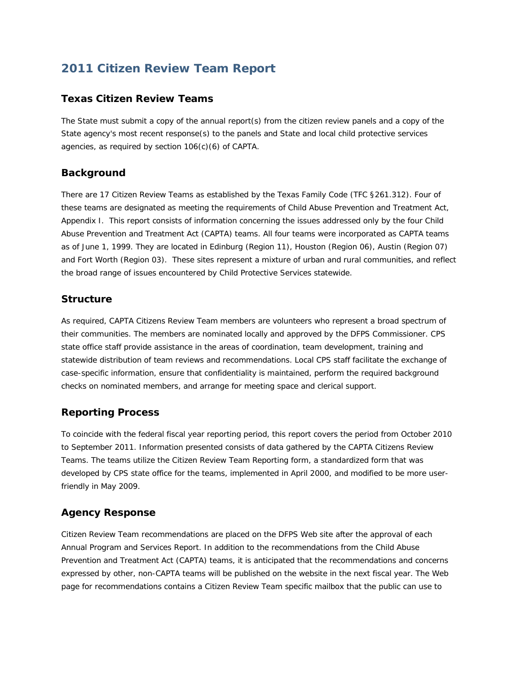# **2011 Citizen Review Team Report**

#### **Texas Citizen Review Teams**

The State must submit a copy of the annual report(s) from the citizen review panels and a copy of the State agency's most recent response(s) to the panels and State and local child protective services agencies, as required by section 106(c)(6) of CAPTA.

#### **Background**

There are 17 Citizen Review Teams as established by the Texas Family Code (TFC §261.312). Four of these teams are designated as meeting the requirements of Child Abuse Prevention and Treatment Act, Appendix I. This report consists of information concerning the issues addressed only by the four Child Abuse Prevention and Treatment Act (CAPTA) teams. All four teams were incorporated as CAPTA teams as of June 1, 1999. They are located in Edinburg (Region 11), Houston (Region 06), Austin (Region 07) and Fort Worth (Region 03). These sites represent a mixture of urban and rural communities, and reflect the broad range of issues encountered by Child Protective Services statewide.

#### **Structure**

As required, CAPTA Citizens Review Team members are volunteers who represent a broad spectrum of their communities. The members are nominated locally and approved by the DFPS Commissioner. CPS state office staff provide assistance in the areas of coordination, team development, training and statewide distribution of team reviews and recommendations. Local CPS staff facilitate the exchange of case-specific information, ensure that confidentiality is maintained, perform the required background checks on nominated members, and arrange for meeting space and clerical support.

#### **Reporting Process**

To coincide with the federal fiscal year reporting period, this report covers the period from October 2010 to September 2011. Information presented consists of data gathered by the CAPTA Citizens Review Teams. The teams utilize the Citizen Review Team Reporting form, a standardized form that was developed by CPS state office for the teams, implemented in April 2000, and modified to be more userfriendly in May 2009.

## **Agency Response**

Citizen Review Team recommendations are placed on the DFPS Web site after the approval of each Annual Program and Services Report. In addition to the recommendations from the Child Abuse Prevention and Treatment Act (CAPTA) teams, it is anticipated that the recommendations and concerns expressed by other, non-CAPTA teams will be published on the website in the next fiscal year. The Web page for recommendations contains a Citizen Review Team specific mailbox that the public can use to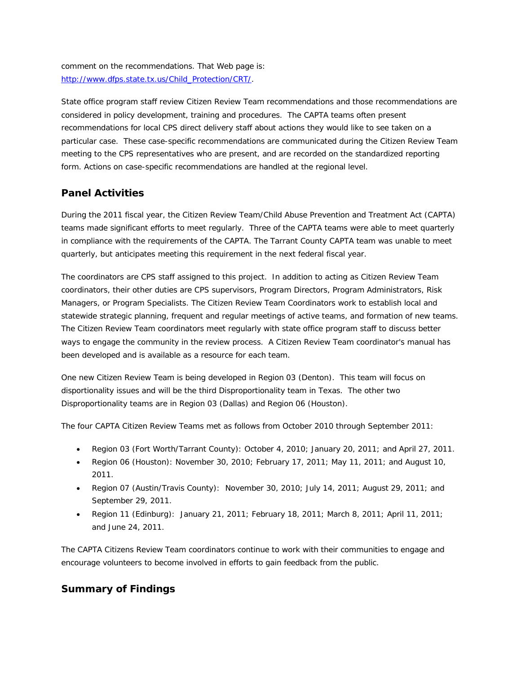comment on the recommendations. That Web page is: [http://www.dfps.state.tx.us/Child\\_Protection/CRT/.](http://www.dfps.state.tx.us/Child_Protection/CRT/)

State office program staff review Citizen Review Team recommendations and those recommendations are considered in policy development, training and procedures. The CAPTA teams often present recommendations for local CPS direct delivery staff about actions they would like to see taken on a particular case. These case-specific recommendations are communicated during the Citizen Review Team meeting to the CPS representatives who are present, and are recorded on the standardized reporting form. Actions on case-specific recommendations are handled at the regional level.

## **Panel Activities**

During the 2011 fiscal year, the Citizen Review Team/Child Abuse Prevention and Treatment Act (CAPTA) teams made significant efforts to meet regularly. Three of the CAPTA teams were able to meet quarterly in compliance with the requirements of the CAPTA. The Tarrant County CAPTA team was unable to meet quarterly, but anticipates meeting this requirement in the next federal fiscal year.

The coordinators are CPS staff assigned to this project. In addition to acting as Citizen Review Team coordinators, their other duties are CPS supervisors, Program Directors, Program Administrators, Risk Managers, or Program Specialists. The Citizen Review Team Coordinators work to establish local and statewide strategic planning, frequent and regular meetings of active teams, and formation of new teams. The Citizen Review Team coordinators meet regularly with state office program staff to discuss better ways to engage the community in the review process. A Citizen Review Team coordinator's manual has been developed and is available as a resource for each team.

One new Citizen Review Team is being developed in Region 03 (Denton). This team will focus on disportionality issues and will be the third Disproportionality team in Texas. The other two Disproportionality teams are in Region 03 (Dallas) and Region 06 (Houston).

The four CAPTA Citizen Review Teams met as follows from October 2010 through September 2011:

- Region 03 (Fort Worth/Tarrant County): October 4, 2010; January 20, 2011; and April 27, 2011.
- Region 06 (Houston): November 30, 2010; February 17, 2011; May 11, 2011; and August 10, 2011.
- Region 07 (Austin/Travis County): November 30, 2010; July 14, 2011; August 29, 2011; and September 29, 2011.
- Region 11 (Edinburg): January 21, 2011; February 18, 2011; March 8, 2011; April 11, 2011; and June 24, 2011.

The CAPTA Citizens Review Team coordinators continue to work with their communities to engage and encourage volunteers to become involved in efforts to gain feedback from the public.

## **Summary of Findings**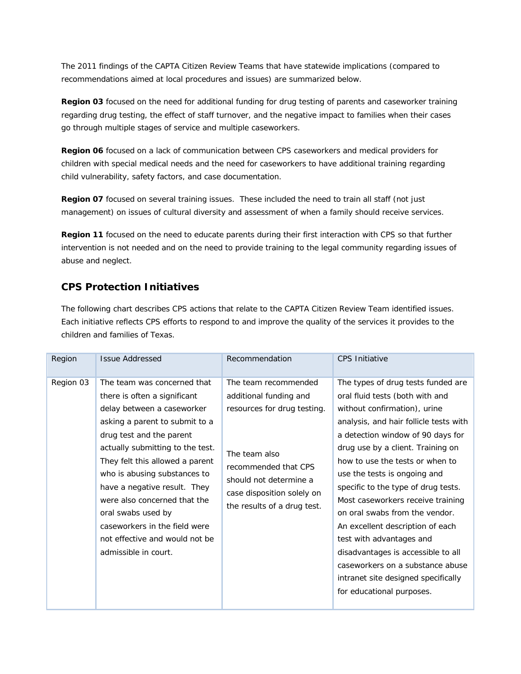The 2011 findings of the CAPTA Citizen Review Teams that have statewide implications (compared to recommendations aimed at local procedures and issues) are summarized below.

**Region 03** focused on the need for additional funding for drug testing of parents and caseworker training regarding drug testing, the effect of staff turnover, and the negative impact to families when their cases go through multiple stages of service and multiple caseworkers.

**Region 06** focused on a lack of communication between CPS caseworkers and medical providers for children with special medical needs and the need for caseworkers to have additional training regarding child vulnerability, safety factors, and case documentation.

**Region 07** focused on several training issues. These included the need to train all staff (not just management) on issues of cultural diversity and assessment of when a family should receive services.

**Region 11** focused on the need to educate parents during their first interaction with CPS so that further intervention is not needed and on the need to provide training to the legal community regarding issues of abuse and neglect.

## **CPS Protection Initiatives**

The following chart describes CPS actions that relate to the CAPTA Citizen Review Team identified issues. Each initiative reflects CPS efforts to respond to and improve the quality of the services it provides to the children and families of Texas.

| Region    | <b>Issue Addressed</b>                                                                                                                                                                                                                                                                                                                                                                                                                          | Recommendation                                                                                                                                                                                                | <b>CPS Initiative</b>                                                                                                                                                                                                                                                                                                                                                                                                                                                                                                                                                                                                    |
|-----------|-------------------------------------------------------------------------------------------------------------------------------------------------------------------------------------------------------------------------------------------------------------------------------------------------------------------------------------------------------------------------------------------------------------------------------------------------|---------------------------------------------------------------------------------------------------------------------------------------------------------------------------------------------------------------|--------------------------------------------------------------------------------------------------------------------------------------------------------------------------------------------------------------------------------------------------------------------------------------------------------------------------------------------------------------------------------------------------------------------------------------------------------------------------------------------------------------------------------------------------------------------------------------------------------------------------|
| Region 03 | The team was concerned that<br>there is often a significant<br>delay between a caseworker<br>asking a parent to submit to a<br>drug test and the parent<br>actually submitting to the test.<br>They felt this allowed a parent<br>who is abusing substances to<br>have a negative result. They<br>were also concerned that the<br>oral swabs used by<br>caseworkers in the field were<br>not effective and would not be<br>admissible in court. | The team recommended<br>additional funding and<br>resources for drug testing.<br>The team also<br>recommended that CPS<br>should not determine a<br>case disposition solely on<br>the results of a drug test. | The types of drug tests funded are<br>oral fluid tests (both with and<br>without confirmation), urine<br>analysis, and hair follicle tests with<br>a detection window of 90 days for<br>drug use by a client. Training on<br>how to use the tests or when to<br>use the tests is ongoing and<br>specific to the type of drug tests.<br>Most caseworkers receive training<br>on oral swabs from the vendor.<br>An excellent description of each<br>test with advantages and<br>disadvantages is accessible to all<br>caseworkers on a substance abuse<br>intranet site designed specifically<br>for educational purposes. |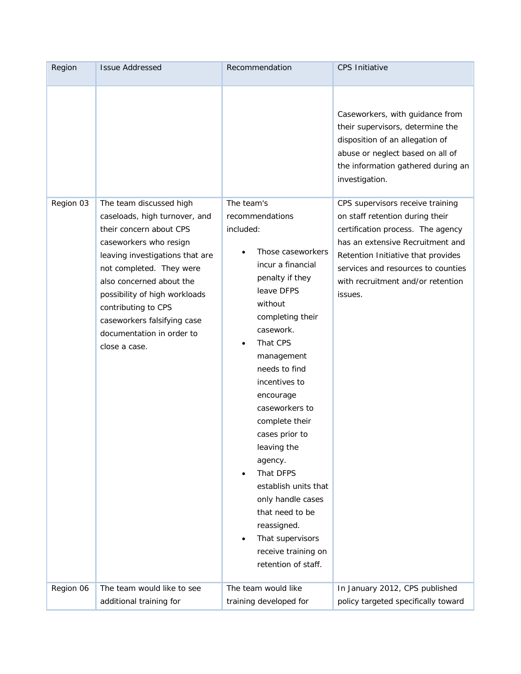| Region    | <b>Issue Addressed</b>                                                                                                                                                                                                                                                            | Recommendation                                                                                                                                                                                                                                                                                                                                                                                                                                                                                              | <b>CPS Initiative</b>                                                                                                                                                                                                                                                     |
|-----------|-----------------------------------------------------------------------------------------------------------------------------------------------------------------------------------------------------------------------------------------------------------------------------------|-------------------------------------------------------------------------------------------------------------------------------------------------------------------------------------------------------------------------------------------------------------------------------------------------------------------------------------------------------------------------------------------------------------------------------------------------------------------------------------------------------------|---------------------------------------------------------------------------------------------------------------------------------------------------------------------------------------------------------------------------------------------------------------------------|
| Region 03 | The team discussed high<br>caseloads, high turnover, and                                                                                                                                                                                                                          | The team's<br>recommendations                                                                                                                                                                                                                                                                                                                                                                                                                                                                               | Caseworkers, with guidance from<br>their supervisors, determine the<br>disposition of an allegation of<br>abuse or neglect based on all of<br>the information gathered during an<br>investigation.<br>CPS supervisors receive training<br>on staff retention during their |
|           | their concern about CPS<br>caseworkers who resign<br>leaving investigations that are<br>not completed. They were<br>also concerned about the<br>possibility of high workloads<br>contributing to CPS<br>caseworkers falsifying case<br>documentation in order to<br>close a case. | included:<br>Those caseworkers<br>$\bullet$<br>incur a financial<br>penalty if they<br>leave DFPS<br>without<br>completing their<br>casework.<br>That CPS<br>$\bullet$<br>management<br>needs to find<br>incentives to<br>encourage<br>caseworkers to<br>complete their<br>cases prior to<br>leaving the<br>agency.<br>That DFPS<br>$\bullet$<br>establish units that<br>only handle cases<br>that need to be<br>reassigned.<br>That supervisors<br>$\bullet$<br>receive training on<br>retention of staff. | certification process. The agency<br>has an extensive Recruitment and<br>Retention Initiative that provides<br>services and resources to counties<br>with recruitment and/or retention<br>issues.                                                                         |
| Region 06 | The team would like to see<br>additional training for                                                                                                                                                                                                                             | The team would like<br>training developed for                                                                                                                                                                                                                                                                                                                                                                                                                                                               | In January 2012, CPS published<br>policy targeted specifically toward                                                                                                                                                                                                     |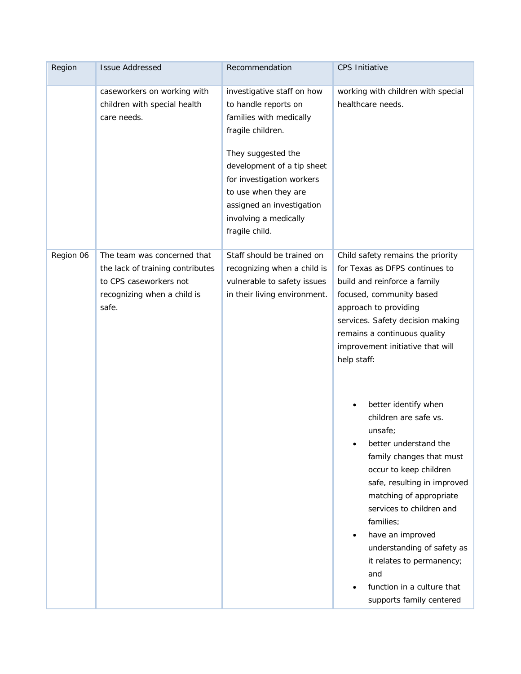| Region    | <b>Issue Addressed</b>                                                                                                            | Recommendation                                                                                                                                                                                                                                                                      | <b>CPS Initiative</b>                                                                                                                                                                                                                                                                                                                                                                                                                                                                                                                                                                                                                                                         |
|-----------|-----------------------------------------------------------------------------------------------------------------------------------|-------------------------------------------------------------------------------------------------------------------------------------------------------------------------------------------------------------------------------------------------------------------------------------|-------------------------------------------------------------------------------------------------------------------------------------------------------------------------------------------------------------------------------------------------------------------------------------------------------------------------------------------------------------------------------------------------------------------------------------------------------------------------------------------------------------------------------------------------------------------------------------------------------------------------------------------------------------------------------|
|           | caseworkers on working with<br>children with special health<br>care needs.                                                        | investigative staff on how<br>to handle reports on<br>families with medically<br>fragile children.<br>They suggested the<br>development of a tip sheet<br>for investigation workers<br>to use when they are<br>assigned an investigation<br>involving a medically<br>fragile child. | working with children with special<br>healthcare needs.                                                                                                                                                                                                                                                                                                                                                                                                                                                                                                                                                                                                                       |
| Region 06 | The team was concerned that<br>the lack of training contributes<br>to CPS caseworkers not<br>recognizing when a child is<br>safe. | Staff should be trained on<br>recognizing when a child is<br>vulnerable to safety issues<br>in their living environment.                                                                                                                                                            | Child safety remains the priority<br>for Texas as DFPS continues to<br>build and reinforce a family<br>focused, community based<br>approach to providing<br>services. Safety decision making<br>remains a continuous quality<br>improvement initiative that will<br>help staff:<br>better identify when<br>children are safe vs.<br>unsafe;<br>better understand the<br>family changes that must<br>occur to keep children<br>safe, resulting in improved<br>matching of appropriate<br>services to children and<br>families;<br>have an improved<br>understanding of safety as<br>it relates to permanency;<br>and<br>function in a culture that<br>supports family centered |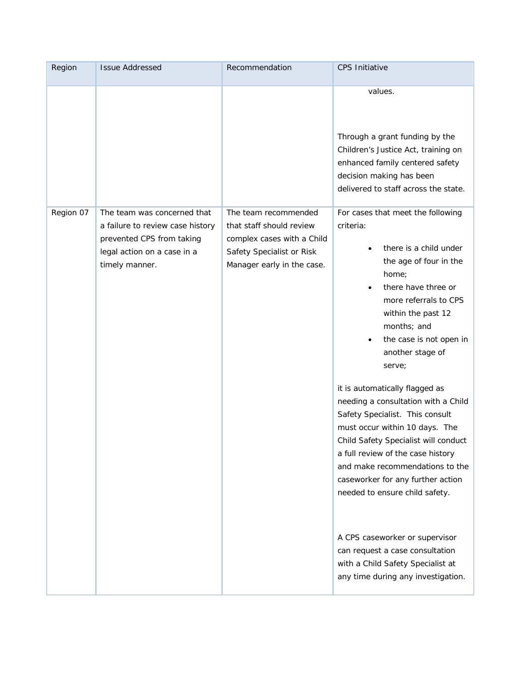| Region    | <b>Issue Addressed</b>                                                                                                                        | Recommendation                                                                                                                            | <b>CPS Initiative</b>                                                                                                                                                                                                                                                                                                                                                                                                                                                                                                                                                                                                    |
|-----------|-----------------------------------------------------------------------------------------------------------------------------------------------|-------------------------------------------------------------------------------------------------------------------------------------------|--------------------------------------------------------------------------------------------------------------------------------------------------------------------------------------------------------------------------------------------------------------------------------------------------------------------------------------------------------------------------------------------------------------------------------------------------------------------------------------------------------------------------------------------------------------------------------------------------------------------------|
|           |                                                                                                                                               |                                                                                                                                           | values.<br>Through a grant funding by the<br>Children's Justice Act, training on<br>enhanced family centered safety<br>decision making has been<br>delivered to staff across the state.                                                                                                                                                                                                                                                                                                                                                                                                                                  |
| Region 07 | The team was concerned that<br>a failure to review case history<br>prevented CPS from taking<br>legal action on a case in a<br>timely manner. | The team recommended<br>that staff should review<br>complex cases with a Child<br>Safety Specialist or Risk<br>Manager early in the case. | For cases that meet the following<br>criteria:<br>there is a child under<br>the age of four in the<br>home;<br>there have three or<br>$\bullet$<br>more referrals to CPS<br>within the past 12<br>months; and<br>the case is not open in<br>$\bullet$<br>another stage of<br>serve;<br>it is automatically flagged as<br>needing a consultation with a Child<br>Safety Specialist. This consult<br>must occur within 10 days. The<br>Child Safety Specialist will conduct<br>a full review of the case history<br>and make recommendations to the<br>caseworker for any further action<br>needed to ensure child safety. |
|           |                                                                                                                                               |                                                                                                                                           | A CPS caseworker or supervisor<br>can request a case consultation<br>with a Child Safety Specialist at<br>any time during any investigation.                                                                                                                                                                                                                                                                                                                                                                                                                                                                             |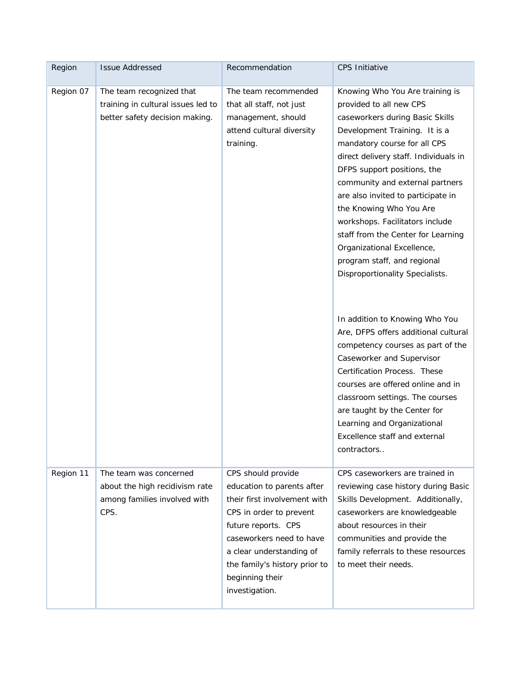| Region    | <b>Issue Addressed</b>                                                                           | Recommendation                                                                                                                                                                                                                                                   | <b>CPS Initiative</b>                                                                                                                                                                                                                                                                                                                                                                                                                                                                                               |
|-----------|--------------------------------------------------------------------------------------------------|------------------------------------------------------------------------------------------------------------------------------------------------------------------------------------------------------------------------------------------------------------------|---------------------------------------------------------------------------------------------------------------------------------------------------------------------------------------------------------------------------------------------------------------------------------------------------------------------------------------------------------------------------------------------------------------------------------------------------------------------------------------------------------------------|
| Region 07 | The team recognized that<br>training in cultural issues led to<br>better safety decision making. | The team recommended<br>that all staff, not just<br>management, should<br>attend cultural diversity<br>training.                                                                                                                                                 | Knowing Who You Are training is<br>provided to all new CPS<br>caseworkers during Basic Skills<br>Development Training. It is a<br>mandatory course for all CPS<br>direct delivery staff. Individuals in<br>DFPS support positions, the<br>community and external partners<br>are also invited to participate in<br>the Knowing Who You Are<br>workshops. Facilitators include<br>staff from the Center for Learning<br>Organizational Excellence,<br>program staff, and regional<br>Disproportionality Specialists. |
|           |                                                                                                  |                                                                                                                                                                                                                                                                  | In addition to Knowing Who You<br>Are, DFPS offers additional cultural<br>competency courses as part of the<br>Caseworker and Supervisor<br>Certification Process. These<br>courses are offered online and in<br>classroom settings. The courses<br>are taught by the Center for<br>Learning and Organizational<br>Excellence staff and external<br>contractors                                                                                                                                                     |
| Region 11 | The team was concerned<br>about the high recidivism rate<br>among families involved with<br>CPS. | CPS should provide<br>education to parents after<br>their first involvement with<br>CPS in order to prevent<br>future reports. CPS<br>caseworkers need to have<br>a clear understanding of<br>the family's history prior to<br>beginning their<br>investigation. | CPS caseworkers are trained in<br>reviewing case history during Basic<br>Skills Development. Additionally,<br>caseworkers are knowledgeable<br>about resources in their<br>communities and provide the<br>family referrals to these resources<br>to meet their needs.                                                                                                                                                                                                                                               |